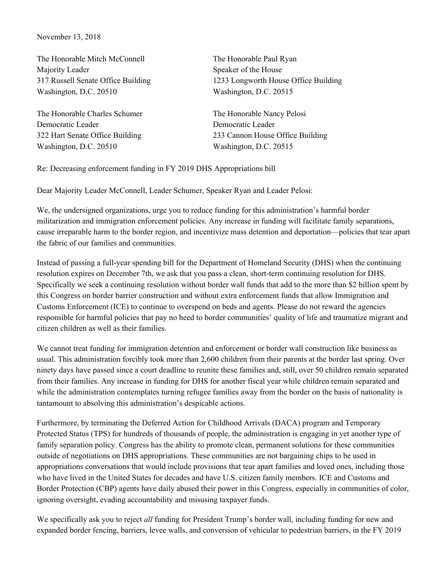November 13, 2018

The Honorable Mitch McConnell Majority Leader 317 Russell Senate Office Building Washington, D.C. 20510

The Honorable Charles Schumer Democratic Leader 322 Hart Senate Office Building Washington, D.C. 20510

The Honorable Paul Ryan Speaker of the House 1233 Longworth House Office Building Washington, D.C. 20515

The Honorable Nancy Pelosi Democratic Leader 233 Cannon House Office Building Washington, D.C. 20515

Re: Decreasing enforcement funding in FY 2019 DHS Appropriations bill

Dear Majority Leader McConnell, Leader Schumer, Speaker Ryan and Leader Pelosi:

We, the undersigned organizations, urge you to reduce funding for this administration's harmful border militarization and immigration enforcement policies. Any increase in funding will facilitate family separations, cause irreparable harm to the border region, and incentivize mass detention and deportation—policies that tear apart the fabric of our families and communities.

Instead of passing a full-year spending bill for the Department of Homeland Security (DHS) when the continuing resolution expires on December 7th, we ask that you pass a clean, short-term continuing resolution for DHS. Specifically we seek a continuing resolution without border wall funds that add to the more than \$2 billion spent by this Congress on border barrier construction and without extra enforcement funds that allow Immigration and Customs Enforcement (ICE) to continue to overspend on beds and agents. Please do not reward the agencies responsible for harmful policies that pay no heed to border communities' quality of life and traumatize migrant and citizen children as well as their families.

We cannot treat funding for immigration detention and enforcement or border wall construction like business as usual. This administration forcibly took more than 2,600 children from their parents at the border last spring. Over ninety days have passed since a court deadline to reunite these families and, still, over 50 children remain separated from their families. Any increase in funding for DHS for another fiscal year while children remain separated and while the administration contemplates turning refugee families away from the border on the basis of nationality is tantamount to absolving this administration's despicable actions.

Furthermore, by terminating the Deferred Action for Childhood Arrivals (DACA) program and Temporary Protected Status (TPS) for hundreds of thousands of people, the administration is engaging in yet another type of family separation policy. Congress has the ability to promote clean, permanent solutions for these communities outside of negotiations on DHS appropriations. These communities are not bargaining chips to be used in appropriations conversations that would include provisions that tear apart families and loved ones, including those who have lived in the United States for decades and have U.S. citizen family members. ICE and Customs and Border Protection (CBP) agents have daily abused their power in this Congress, especially in communities of color, ignoring oversight, evading accountability and misusing taxpayer funds.

We specifically ask you to reject *all* funding for President Trump's border wall, including funding for new and expanded border fencing, barriers, levee walls, and conversion of vehicular to pedestrian barriers, in the FY 2019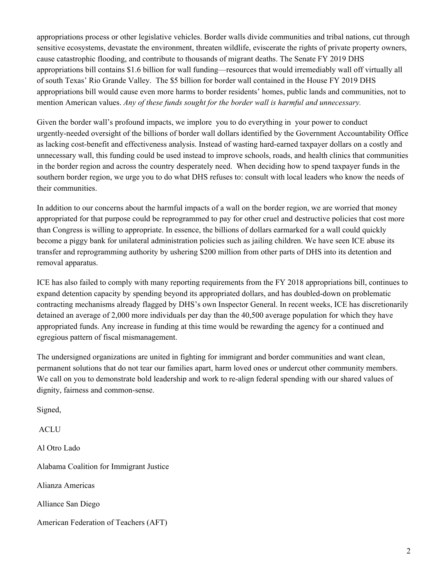appropriations process or other legislative vehicles. Border walls divide communities and tribal nations, cut through sensitive ecosystems, devastate the environment, threaten wildlife, eviscerate the rights of private property owners, cause catastrophic flooding, and contribute to thousands of migrant deaths. The Senate FY 2019 DHS appropriations bill contains \$1.6 billion for wall funding—resources that would irremediably wall off virtually all of south Texas' Rio Grande Valley. The \$5 billion for border wall contained in the House FY 2019 DHS appropriations bill would cause even more harms to border residents' homes, public lands and communities, not to mention American values. *Any of these funds sought for the border wall is harmful and unnecessary.*

Given the border wall's profound impacts, we implore you to do everything in your power to conduct urgently-needed oversight of the billions of border wall dollars identified by the Government Accountability Office as lacking cost-benefit and effectiveness analysis. Instead of wasting hard-earned taxpayer dollars on a costly and unnecessary wall, this funding could be used instead to improve schools, roads, and health clinics that communities in the border region and across the country desperately need. When deciding how to spend taxpayer funds in the southern border region, we urge you to do what DHS refuses to: consult with local leaders who know the needs of their communities.

In addition to our concerns about the harmful impacts of a wall on the border region, we are worried that money appropriated for that purpose could be reprogrammed to pay for other cruel and destructive policies that cost more than Congress is willing to appropriate. In essence, the billions of dollars earmarked for a wall could quickly become a piggy bank for unilateral administration policies such as jailing children. We have seen ICE abuse its transfer and reprogramming authority by ushering \$200 million from other parts of DHS into its detention and removal apparatus.

ICE has also failed to comply with many reporting requirements from the FY 2018 appropriations bill, continues to expand detention capacity by spending beyond its appropriated dollars, and has doubled-down on problematic contracting mechanisms already flagged by DHS's own Inspector General. In recent weeks, ICE has discretionarily detained an average of 2,000 more individuals per day than the 40,500 average population for which they have appropriated funds. Any increase in funding at this time would be rewarding the agency for a continued and egregious pattern of fiscal mismanagement.

The undersigned organizations are united in fighting for immigrant and border communities and want clean, permanent solutions that do not tear our families apart, harm loved ones or undercut other community members. We call on you to demonstrate bold leadership and work to re-align federal spending with our shared values of dignity, fairness and common-sense.

Signed,

ACLU

Al Otro Lado

Alabama Coalition for Immigrant Justice

Alianza Americas

Alliance San Diego

American Federation of Teachers (AFT)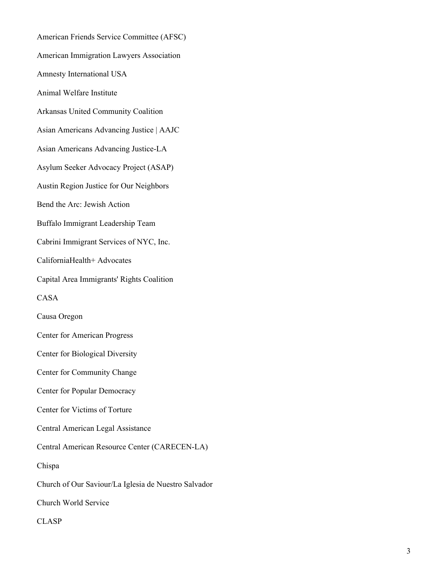American Friends Service Committee (AFSC) American Immigration Lawyers Association Amnesty International USA Animal Welfare Institute Arkansas United Community Coalition Asian Americans Advancing Justice | AAJC Asian Americans Advancing Justice-LA Asylum Seeker Advocacy Project (ASAP) Austin Region Justice for Our Neighbors Bend the Arc: Jewish Action Buffalo Immigrant Leadership Team Cabrini Immigrant Services of NYC, Inc. CaliforniaHealth+ Advocates Capital Area Immigrants' Rights Coalition CASA Causa Oregon Center for American Progress Center for Biological Diversity Center for Community Change Center for Popular Democracy Center for Victims of Torture Central American Legal Assistance Central American Resource Center (CARECEN-LA) Chispa Church of Our Saviour/La Iglesia de Nuestro Salvador Church World Service CLASP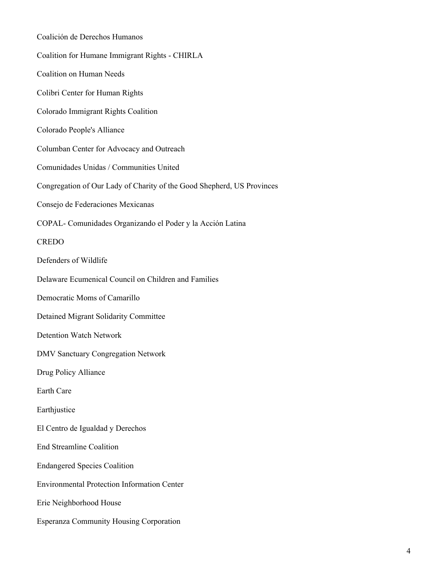| Coalición de Derechos Humanos                                          |
|------------------------------------------------------------------------|
| Coalition for Humane Immigrant Rights - CHIRLA                         |
| <b>Coalition on Human Needs</b>                                        |
| Colibri Center for Human Rights                                        |
| Colorado Immigrant Rights Coalition                                    |
| Colorado People's Alliance                                             |
| Columban Center for Advocacy and Outreach                              |
| Comunidades Unidas / Communities United                                |
| Congregation of Our Lady of Charity of the Good Shepherd, US Provinces |
| Consejo de Federaciones Mexicanas                                      |
| COPAL- Comunidades Organizando el Poder y la Acción Latina             |
| <b>CREDO</b>                                                           |
| Defenders of Wildlife                                                  |
| Delaware Ecumenical Council on Children and Families                   |
| Democratic Moms of Camarillo                                           |
| Detained Migrant Solidarity Committee                                  |
| <b>Detention Watch Network</b>                                         |
| <b>DMV Sanctuary Congregation Network</b>                              |
| Drug Policy Alliance                                                   |
| Earth Care                                                             |
| Earthjustice                                                           |
| El Centro de Igualdad y Derechos                                       |
| <b>End Streamline Coalition</b>                                        |
| <b>Endangered Species Coalition</b>                                    |
| <b>Environmental Protection Information Center</b>                     |
| Erie Neighborhood House                                                |
| <b>Esperanza Community Housing Corporation</b>                         |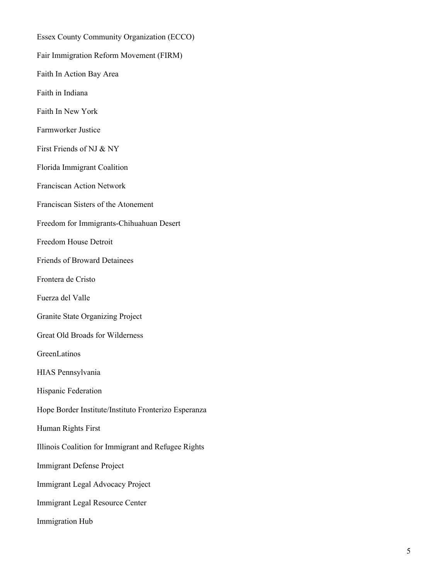Essex County Community Organization (ECCO) Fair Immigration Reform Movement (FIRM) Faith In Action Bay Area Faith in Indiana Faith In New York Farmworker Justice First Friends of NJ & NY Florida Immigrant Coalition Franciscan Action Network Franciscan Sisters of the Atonement Freedom for Immigrants-Chihuahuan Desert Freedom House Detroit Friends of Broward Detainees Frontera de Cristo Fuerza del Valle Granite State Organizing Project Great Old Broads for Wilderness GreenLatinos HIAS Pennsylvania Hispanic Federation Hope Border Institute/Instituto Fronterizo Esperanza Human Rights First Illinois Coalition for Immigrant and Refugee Rights Immigrant Defense Project Immigrant Legal Advocacy Project Immigrant Legal Resource Center Immigration Hub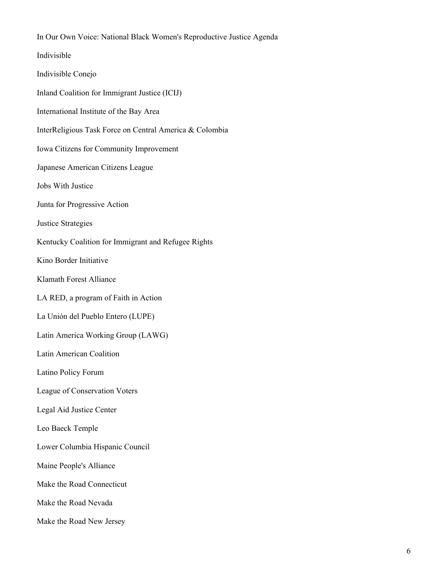In Our Own Voice: National Black Women's Reproductive Justice Agenda Indivisible Indivisible Conejo Inland Coalition for Immigrant Justice (ICIJ) International Institute of the Bay Area InterReligious Task Force on Central America & Colombia Iowa Citizens for Community Improvement Japanese American Citizens League Jobs With Justice Junta for Progressive Action Justice Strategies Kentucky Coalition for Immigrant and Refugee Rights Kino Border Initiative Klamath Forest Alliance LA RED, a program of Faith in Action La Unión del Pueblo Entero (LUPE) Latin America Working Group (LAWG) Latin American Coalition Latino Policy Forum League of Conservation Voters Legal Aid Justice Center Leo Baeck Temple Lower Columbia Hispanic Council Maine People's Alliance Make the Road Connecticut Make the Road Nevada Make the Road New Jersey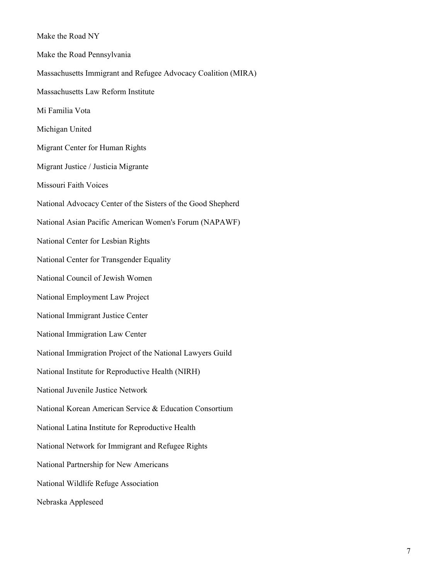Make the Road NY Make the Road Pennsylvania Massachusetts Immigrant and Refugee Advocacy Coalition (MIRA) Massachusetts Law Reform Institute Mi Familia Vota Michigan United Migrant Center for Human Rights Migrant Justice / Justicia Migrante Missouri Faith Voices National Advocacy Center of the Sisters of the Good Shepherd National Asian Pacific American Women's Forum (NAPAWF) National Center for Lesbian Rights National Center for Transgender Equality National Council of Jewish Women National Employment Law Project National Immigrant Justice Center National Immigration Law Center National Immigration Project of the National Lawyers Guild National Institute for Reproductive Health (NIRH) National Juvenile Justice Network National Korean American Service & Education Consortium National Latina Institute for Reproductive Health National Network for Immigrant and Refugee Rights National Partnership for New Americans National Wildlife Refuge Association Nebraska Appleseed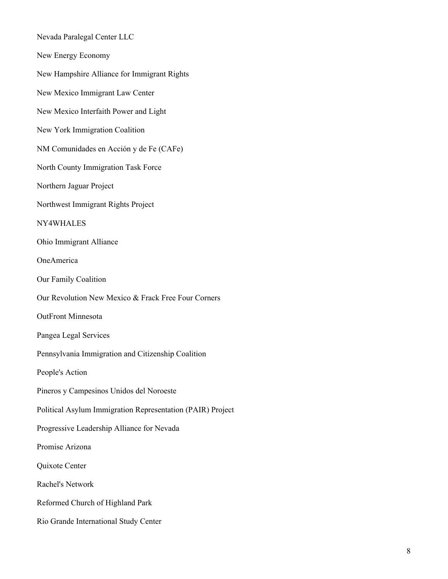Nevada Paralegal Center LLC

New Energy Economy

New Hampshire Alliance for Immigrant Rights

New Mexico Immigrant Law Center

New Mexico Interfaith Power and Light

New York Immigration Coalition

NM Comunidades en Acción y de Fe (CAFe)

North County Immigration Task Force

Northern Jaguar Project

Northwest Immigrant Rights Project

NY4WHALES

Ohio Immigrant Alliance

OneAmerica

Our Family Coalition

Our Revolution New Mexico & Frack Free Four Corners

OutFront Minnesota

Pangea Legal Services

Pennsylvania Immigration and Citizenship Coalition

People's Action

Pineros y Campesinos Unidos del Noroeste

Political Asylum Immigration Representation (PAIR) Project

Progressive Leadership Alliance for Nevada

Promise Arizona

Quixote Center

Rachel's Network

Reformed Church of Highland Park

Rio Grande International Study Center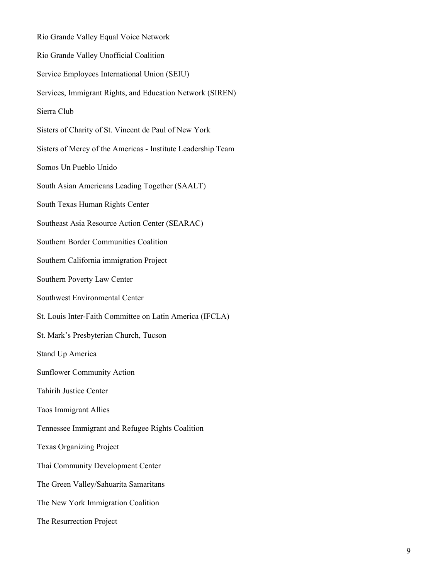Rio Grande Valley Equal Voice Network Rio Grande Valley Unofficial Coalition Service Employees International Union (SEIU) Services, Immigrant Rights, and Education Network (SIREN) Sierra Club Sisters of Charity of St. Vincent de Paul of New York Sisters of Mercy of the Americas - Institute Leadership Team Somos Un Pueblo Unido South Asian Americans Leading Together (SAALT) South Texas Human Rights Center Southeast Asia Resource Action Center (SEARAC) Southern Border Communities Coalition Southern California immigration Project Southern Poverty Law Center Southwest Environmental Center St. Louis Inter-Faith Committee on Latin America (IFCLA) St. Mark's Presbyterian Church, Tucson Stand Up America Sunflower Community Action Tahirih Justice Center Taos Immigrant Allies Tennessee Immigrant and Refugee Rights Coalition Texas Organizing Project Thai Community Development Center The Green Valley/Sahuarita Samaritans The New York Immigration Coalition The Resurrection Project